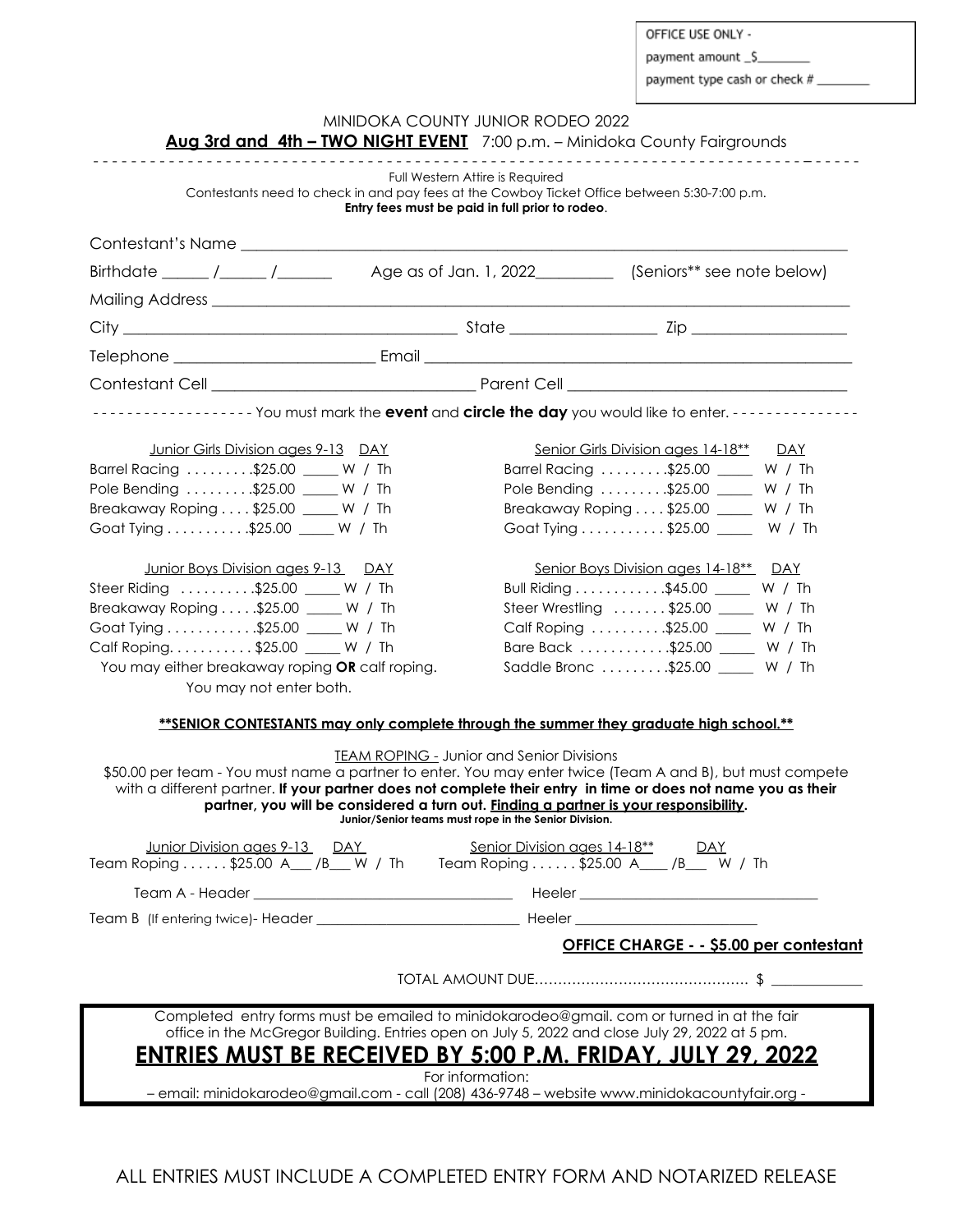OFFICE USE ONLY -

payment amount \_\$

payment type cash or check #

|                                                                                                                                                                                                                                                                                                                                                                                                                           | . <u>.</u> .                                                                                                      |                                       | Aug 3rd and 4th - TWO NIGHT EVENT 7:00 p.m. - Minidoka County Fairgrounds |      |
|---------------------------------------------------------------------------------------------------------------------------------------------------------------------------------------------------------------------------------------------------------------------------------------------------------------------------------------------------------------------------------------------------------------------------|-------------------------------------------------------------------------------------------------------------------|---------------------------------------|---------------------------------------------------------------------------|------|
| Contestants need to check in and pay fees at the Cowboy Ticket Office between 5:30-7:00 p.m.                                                                                                                                                                                                                                                                                                                              | Full Western Attire is Required<br>Entry fees must be paid in full prior to rodeo.                                |                                       |                                                                           |      |
|                                                                                                                                                                                                                                                                                                                                                                                                                           |                                                                                                                   |                                       |                                                                           |      |
| Birthdate $\frac{1}{\sqrt{1-\frac{1}{\sqrt{1-\frac{1}{\sqrt{1-\frac{1}{\sqrt{1-\frac{1}{\sqrt{1-\frac{1}{\sqrt{1-\frac{1}{\sqrt{1-\frac{1}{\sqrt{1-\frac{1}{\sqrt{1-\frac{1}{\sqrt{1-\frac{1}{\sqrt{1-\frac{1}{\sqrt{1-\frac{1}{\sqrt{1-\frac{1}{\sqrt{1-\frac{1}{\sqrt{1-\frac{1}{\sqrt{1-\frac{1}{\sqrt{1-\frac{1}{\sqrt{1-\frac{1}{\sqrt{1-\frac{1}{\sqrt{1-\frac{1}{\sqrt{1-\frac{1}{\sqrt{1-\frac{1}{\sqrt{1-\frac{$ |                                                                                                                   |                                       |                                                                           |      |
|                                                                                                                                                                                                                                                                                                                                                                                                                           |                                                                                                                   |                                       |                                                                           |      |
|                                                                                                                                                                                                                                                                                                                                                                                                                           |                                                                                                                   |                                       |                                                                           |      |
|                                                                                                                                                                                                                                                                                                                                                                                                                           |                                                                                                                   |                                       |                                                                           |      |
|                                                                                                                                                                                                                                                                                                                                                                                                                           |                                                                                                                   |                                       |                                                                           |      |
| ------------------ You must mark the event and circle the day you would like to enter. --------------                                                                                                                                                                                                                                                                                                                     |                                                                                                                   |                                       |                                                                           |      |
|                                                                                                                                                                                                                                                                                                                                                                                                                           |                                                                                                                   |                                       |                                                                           |      |
| Junior Girls Division ages 9-13 DAY                                                                                                                                                                                                                                                                                                                                                                                       |                                                                                                                   |                                       | Senior Girls Division ages 14-18** DAY                                    |      |
| Barrel Racing \$25.00 _____ W / Th                                                                                                                                                                                                                                                                                                                                                                                        |                                                                                                                   |                                       | Barrel Racing \$25.00 _____ W / Th                                        |      |
| Pole Bending \$25.00 ____ W / Th                                                                                                                                                                                                                                                                                                                                                                                          |                                                                                                                   |                                       | Pole Bending \$25.00 _____ W / Th                                         |      |
| Breakaway Roping \$25.00 ____ W / Th                                                                                                                                                                                                                                                                                                                                                                                      |                                                                                                                   | Breakaway Roping \$25.00 _____ W / Th |                                                                           |      |
| Goat Tying \$25.00 _____ W / Th                                                                                                                                                                                                                                                                                                                                                                                           |                                                                                                                   |                                       | Goat Tying $\ldots \ldots \ldots$ \$25.00 ____                            | W/Th |
| Junior Boys Division ages 9-13 DAY                                                                                                                                                                                                                                                                                                                                                                                        |                                                                                                                   |                                       | Senior Boys Division ages 14-18** DAY                                     |      |
| Steer Riding \$25.00 ____ W / Th                                                                                                                                                                                                                                                                                                                                                                                          |                                                                                                                   |                                       | Bull Riding \$45.00 ______ W / Th                                         |      |
| Breakaway Roping \$25.00 _____ W / Th                                                                                                                                                                                                                                                                                                                                                                                     |                                                                                                                   |                                       | Steer Wrestling  \$25.00 _____ W / Th                                     |      |
| Goat Tying \$25.00 _____ W / Th                                                                                                                                                                                                                                                                                                                                                                                           |                                                                                                                   |                                       | Calf Roping \$25.00 _____ W / Th                                          |      |
| Calf Roping. \$25.00 ____ W / Th                                                                                                                                                                                                                                                                                                                                                                                          |                                                                                                                   |                                       | Bare Back \$25.00 _____ W / Th                                            |      |
| You may either breakaway roping OR calf roping.                                                                                                                                                                                                                                                                                                                                                                           |                                                                                                                   |                                       | Saddle Bronc \$25.00 _____ W / Th                                         |      |
| You may not enter both.                                                                                                                                                                                                                                                                                                                                                                                                   |                                                                                                                   |                                       |                                                                           |      |
| **SENIOR CONTESTANTS may only complete through the summer they graduate high school.**                                                                                                                                                                                                                                                                                                                                    |                                                                                                                   |                                       |                                                                           |      |
| \$50.00 per team - You must name a partner to enter. You may enter twice (Team A and B), but must compete<br>with a different partner. If your partner does not complete their entry in time or does not name you as their<br>partner, you will be considered a turn out. Finding a partner is your responsibility.                                                                                                       | <b>TEAM ROPING - Junior and Senior Divisions</b><br>Junior/Senior teams must rope in the Senior Division.         |                                       |                                                                           |      |
| Junior Division ages 9-13 DAY<br>Team Roping \$25.00 A__ /B__ W / Th Team Roping \$25.00 A__ /B__ W / Th                                                                                                                                                                                                                                                                                                                  |                                                                                                                   |                                       |                                                                           |      |
|                                                                                                                                                                                                                                                                                                                                                                                                                           |                                                                                                                   |                                       |                                                                           |      |
|                                                                                                                                                                                                                                                                                                                                                                                                                           |                                                                                                                   |                                       |                                                                           |      |
|                                                                                                                                                                                                                                                                                                                                                                                                                           |                                                                                                                   |                                       | <b>OFFICE CHARGE - - \$5.00 per contestant</b>                            |      |
|                                                                                                                                                                                                                                                                                                                                                                                                                           |                                                                                                                   |                                       |                                                                           |      |
| Completed entry forms must be emailed to minidokarodeo@gmail. com or turned in at the fair<br>office in the McGregor Building. Entries open on July 5, 2022 and close July 29, 2022 at 5 pm.<br><u>ENTRIES MUST BE RECEIVED BY 5:00 P.M. FRIDAY, JULY 29, 2022</u>                                                                                                                                                        |                                                                                                                   |                                       |                                                                           |      |
|                                                                                                                                                                                                                                                                                                                                                                                                                           | For information:<br>- email: minidokarodeo@gmail.com - call (208) 436-9748 - website www.minidokacountyfair.org - |                                       |                                                                           |      |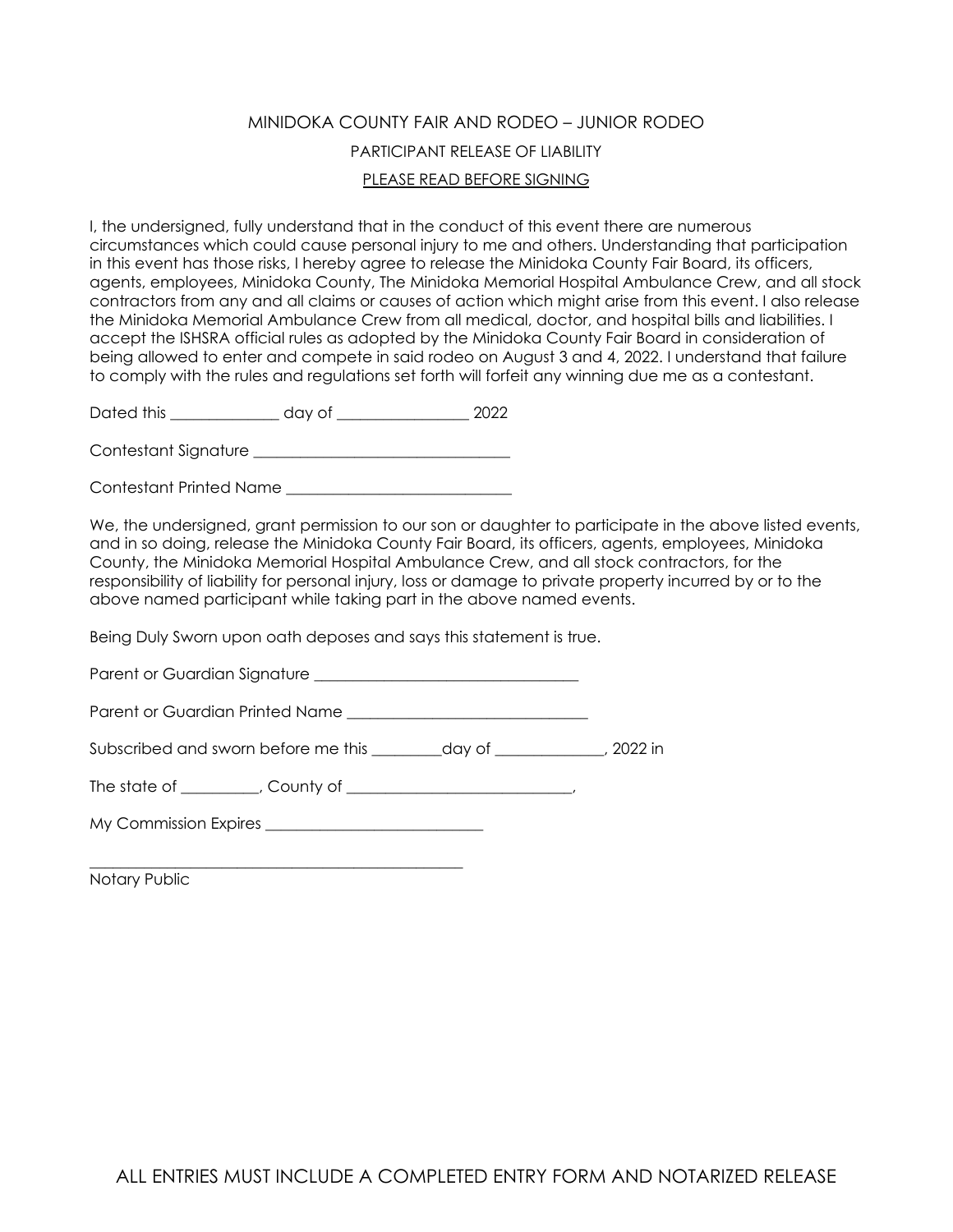### MINIDOKA COUNTY FAIR AND RODEO – JUNIOR RODEO PARTICIPANT RELEASE OF LIABILITY PLEASE READ BEFORE SIGNING

I, the undersigned, fully understand that in the conduct of this event there are numerous circumstances which could cause personal injury to me and others. Understanding that participation in this event has those risks, I hereby agree to release the Minidoka County Fair Board, its officers, agents, employees, Minidoka County, The Minidoka Memorial Hospital Ambulance Crew, and all stock contractors from any and all claims or causes of action which might arise from this event. I also release the Minidoka Memorial Ambulance Crew from all medical, doctor, and hospital bills and liabilities. I accept the ISHSRA official rules as adopted by the Minidoka County Fair Board in consideration of being allowed to enter and compete in said rodeo on August 3 and 4, 2022. I understand that failure to comply with the rules and regulations set forth will forfeit any winning due me as a contestant.

Dated this \_\_\_\_\_\_\_\_\_\_\_\_\_\_ day of \_\_\_\_\_\_\_\_\_\_\_\_\_\_\_\_\_ 2022

Contestant Signature **Executive** 

Contestant Printed Name \_\_\_\_\_\_\_\_\_\_\_\_\_\_\_\_\_\_\_\_\_\_\_\_\_\_\_\_\_

We, the undersianed, arant permission to our son or daughter to participate in the above listed events, and in so doing, release the Minidoka County Fair Board, its officers, agents, employees, Minidoka County, the Minidoka Memorial Hospital Ambulance Crew, and all stock contractors, for the responsibility of liability for personal injury, loss or damage to private property incurred by or to the above named participant while taking part in the above named events.

Being Duly Sworn upon oath deposes and says this statement is true.

Parent or Guardian Signature \_\_\_\_\_\_\_\_\_\_\_\_\_\_\_\_\_\_\_\_\_\_\_\_\_\_\_\_\_\_\_\_\_\_

Parent or Guardian Printed Name **Example 2018** 

Subscribed and sworn before me this day of the subscribed and sworn before me this

The state of \_\_\_\_\_\_\_\_\_, County of \_\_\_\_\_\_\_\_\_\_\_\_\_\_\_\_\_\_\_\_\_\_\_\_\_\_,

My Commission Expires \_\_\_\_\_\_\_\_\_\_\_\_\_\_\_\_\_\_\_\_\_\_\_\_\_\_\_\_

\_\_\_\_\_\_\_\_\_\_\_\_\_\_\_\_\_\_\_\_\_\_\_\_\_\_\_\_\_\_\_\_\_\_\_\_\_\_\_\_\_\_\_\_\_\_\_\_ Notary Public